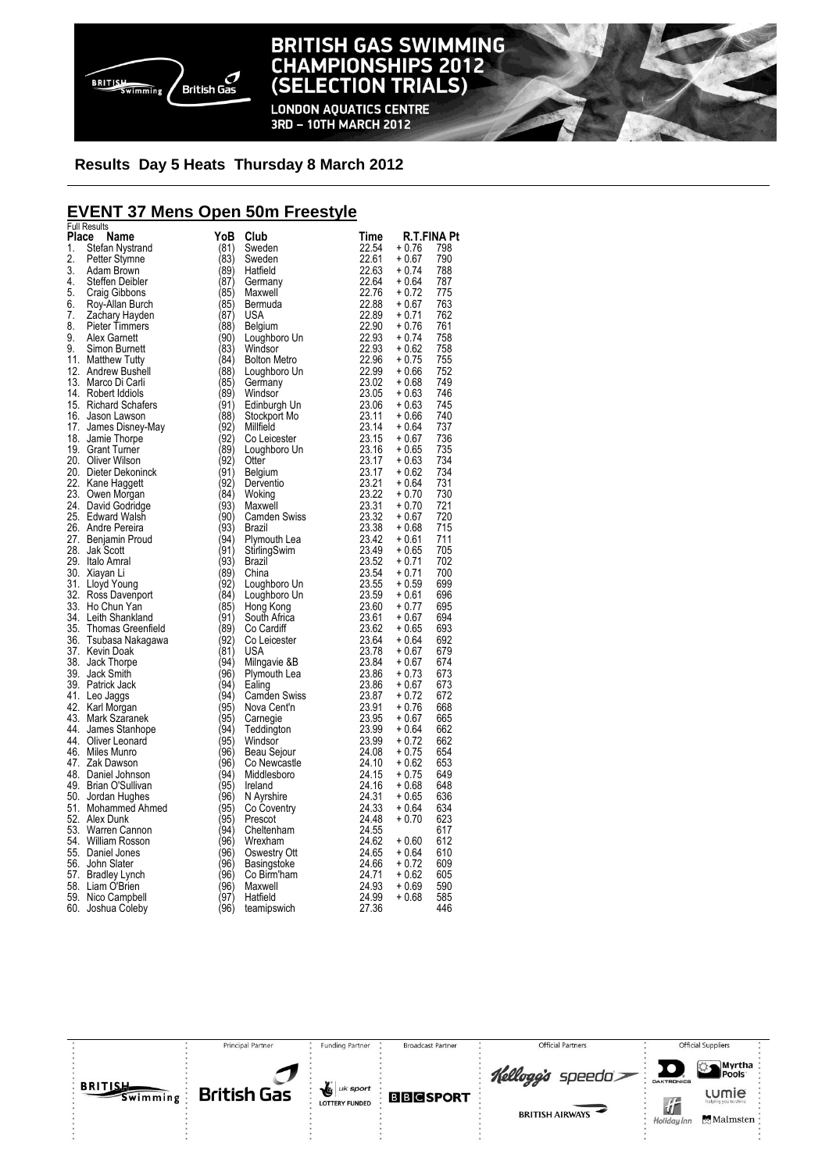

**LONDON AQUATICS CENTRE** 3RD - 10TH MARCH 2012

### **Results Day 5 Heats Thursday 8 March 2012**

### **EVENT 37 Mens Open 50m Freestyle**

|       | <b>Full Results</b>   |                              |                     |                |             |     |
|-------|-----------------------|------------------------------|---------------------|----------------|-------------|-----|
| Place | Name                  | YoB                          | Club                | Time           | R.T.FINA Pt |     |
| 1.    | Stefan Nystrand       | (81)                         | Sweden              | 22.54          | + 0.76      | 798 |
| 2.    | Petter Stymne         | (83)                         | Sweden              | 22.61          | + 0.67      | 790 |
| 3.    | Adam Brown            | (89)                         | Hatfield            | 22.63          | $+0.74$     | 788 |
| 4.    | Steffen Deibler       | (87)                         | Germany             | 22.64          | + 0.64      | 787 |
| 5.    | Craig Gibbons         | (85)                         | Maxwell             | 22.76          | $+0.72$     | 775 |
| 6.    | Roy-Allan Burch       | (85)                         | Bermuda             | 22.88          | $+0.67$     | 763 |
| 7.    | Zachary Hayden        | (87)                         | USA                 | 22.89          | $+0.71$     | 762 |
| 8.    | <b>Pieter Timmers</b> | (88)                         | Belgium             | 22.90          | $+0.76$     | 761 |
| 9.    |                       |                              |                     | 22.93          |             | 758 |
| 9.    | Alex Garnett          | (90)                         | Loughboro Un        |                | $+0.74$     |     |
|       | Simon Burnett         | (83)                         | Windsor             | 22.93          | $+0.62$     | 758 |
|       | 11. Matthew Tutty     | (84)                         | <b>Bolton Metro</b> | 22.96          | $+0.75$     | 755 |
|       | 12. Andrew Bushell    | (88)                         | Loughboro Un        | 22.99          | $+0.66$     | 752 |
|       | 13. Marco Di Carli    | (85)                         | Germany             | 23.02          | $+0.68$     | 749 |
|       | 14. Robert Iddiols    | (89)                         | Windsor             | 23.05          | $+0.63$     | 746 |
|       | 15. Richard Schafers  | (91)                         | Edinburgh Un        | 23.06          | $+0.63$     | 745 |
|       | 16. Jason Lawson      | (88)                         | Stockport Mo        | 23.11          | $+0.66$     | 740 |
|       | 17. James Disney-May  | (92)                         | Millfield           | 23.14          | $+0.64$     | 737 |
|       | 18. Jamie Thorpe      | (92)                         | Co Leicester        | 23.15          | $+0.67$     | 736 |
|       | 19. Grant Turner      | (89)                         | Loughboro Un        | 23.16          | $+0.65$     | 735 |
|       | 20. Oliver Wilson     | (92)                         | Otter               | 23.17          | $+0.63$     | 734 |
|       | 20. Dieter Dekoninck  | $\langle 91 \rangle$         | Belgium             | 23.17          | $+0.62$     | 734 |
|       |                       |                              |                     |                | $+0.64$     | 731 |
|       | 22. Kane Haggett      | (92)<br>$\langle 84 \rangle$ | Derventio           | 23.21<br>23.22 |             |     |
|       | 23. Owen Morgan       |                              | Woking              |                | $+0.70$     | 730 |
|       | 24. David Godridge    | (93)                         | Maxwell             | 23.31          | + 0.70      | 721 |
|       | 25. Edward Walsh      | (90)                         | Camden Swiss        | 23.32          | + 0.67      | 720 |
|       | 26. Andre Pereira     | (93)                         | Brazil              | 23.38          | + 0.68      | 715 |
|       | 27. Benjamin Proud    | (94)                         | Plymouth Lea        | 23.42          | $+0.61$     | 711 |
|       | 28. Jak Scott         | (91)                         | StirlingSwim        | 23.49          | + 0.65      | 705 |
|       | 29. Italo Amral       | (93)                         | Brazil              | 23.52          | $+0.71$     | 702 |
|       | 30. Xiayan Li         | (89)                         | China               | 23.54          | $+0.71$     | 700 |
|       | 31. Lloyd Young       | (92)                         | Loughboro Un        | 23.55          | $+0.59$     | 699 |
|       | 32. Ross Davenport    | (84)                         | Loughboro Un        | 23.59          | + 0.61      | 696 |
|       | 33. Ho Chun Yan       | (85)                         | Hong Kong           | 23.60          | $+0.77$     | 695 |
|       | 34. Leith Shankland   | (91)                         | South Africa        | 23.61          | $+0.67$     | 694 |
|       | 35. Thomas Greenfield | (89)                         | Co Cardiff          | 23.62          | $+0.65$     | 693 |
|       | 36. Tsubasa Nakagawa  | (92)                         | Co Leicester        | 23.64          | $+0.64$     | 692 |
|       | 37. Kevin Doak        | $\langle$ 81)                | USA                 | 23.78          | + 0.67      | 679 |
|       |                       | (94)                         |                     | 23.84          |             | 674 |
|       | 38. Jack Thorpe       | (96)                         | Milngavie &B        |                | $+0.67$     | 673 |
|       | 39. Jack Smith        |                              | Plymouth Lea        | 23.86          | $+0.73$     |     |
|       | 39. Patrick Jack      | (94)                         | Ealing              | 23.86          | $+0.67$     | 673 |
|       | 41. Leo Jaggs         | (94)                         | <b>Camden Swiss</b> | 23.87          | $+0.72$     | 672 |
|       | 42. Karl Morgan       | (95)                         | Nova Cent'n         | 23.91          | $+0.76$     | 668 |
|       | 43. Mark Szaranek     | (95)                         | Carnegie            | 23.95          | + 0.67      | 665 |
|       | 44. James Stanhope    | (94)                         | Teddington          | 23.99          | $+0.64$     | 662 |
|       | 44. Oliver Leonard    | (95)                         | Windsor             | 23.99          | $+0.72$     | 662 |
|       | 46. Miles Munro       | (96)                         | Beau Sejour         | 24.08          | $+0.75$     | 654 |
|       | 47. Zak Dawson        | (96)                         | Co Newcastle        | 24.10          | $+0.62$     | 653 |
|       | 48. Daniel Johnson    | (94)                         | Middlesboro         | 24.15          | $+0.75$     | 649 |
|       | 49. Brian O'Sullivan  | (95)                         | Ireland             | 24.16          | $+0.68$     | 648 |
|       | 50. Jordan Hughes     | (96)                         | N Ayrshire          | 24.31          | $+0.65$     | 636 |
|       | 51. Mohammed Ahmed    | (95)                         | Co Coventry         | 24.33          | + 0.64      | 634 |
|       | 52. Alex Dunk         | (95)                         | Prescot             | 24.48          | $+0.70$     | 623 |
|       |                       | (94)                         |                     | 24.55          |             | 617 |
|       | 53. Warren Cannon     | (96)                         | Cheltenham          |                |             |     |
|       | 54. William Rosson    |                              | Wrexham             | 24.62          | $+0.60$     | 612 |
|       | 55. Daniel Jones      | (96)                         | Oswestry Ott        | 24.65          | $+0.64$     | 610 |
|       | 56. John Slater       | (96)                         | Basingstoke         | 24.66          | $+0.72$     | 609 |
|       | 57. Bradley Lynch     | (96)                         | Co Birm'ham         | 24.71          | $+0.62$     | 605 |
|       | 58. Liam O'Brien      | (96)                         | Maxwell             | 24.93          | + 0.69      | 590 |
|       | 59. Nico Campbell     | (97)                         | Hatfield            | 24.99          | $+0.68$     | 585 |
|       | 60. Joshua Coleby     | (96)                         | teamipswich         | 27.36          |             | 446 |

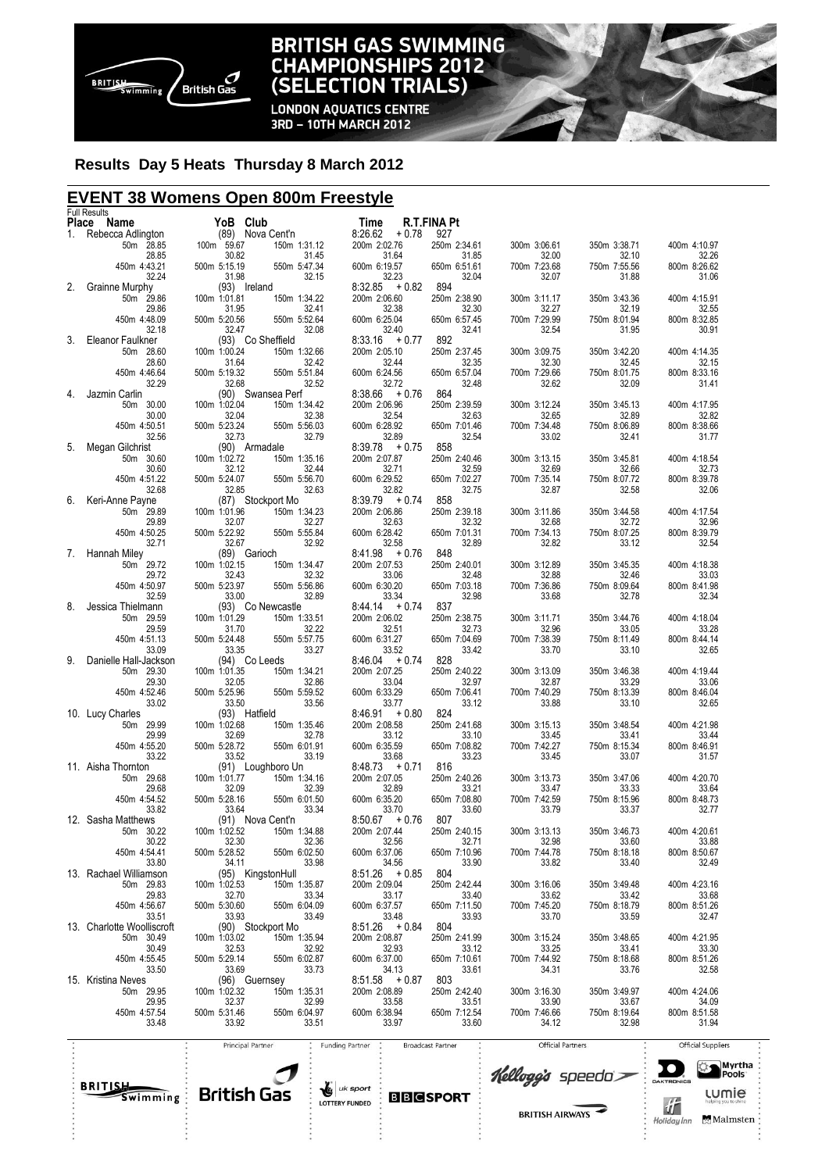

**LONDON AQUATICS CENTRE** 3RD - 10TH MARCH 2012

#### **Results Day 5 Heats Thursday 8 March 2012**

### **EVENT 38 Womens Open 800m Freestyle**

|       | <b>Full Results</b>                     |                       |                                       |                                    |                       |                       |                       |                       |
|-------|-----------------------------------------|-----------------------|---------------------------------------|------------------------------------|-----------------------|-----------------------|-----------------------|-----------------------|
| Place | Name                                    |                       | YoB Club                              | Time                               | <b>R.T.FINA Pt</b>    |                       |                       |                       |
| 1.    | Rebecca Adlington<br>50m 28.85          | (89)<br>100m 59.67    | Nova Cent'n<br>150m 1:31.12           | 8:26.62<br>$+0.78$<br>200m 2:02.76 | 927<br>250m 2:34.61   | 300m 3:06.61          | 350m 3:38.71          | 400m 4:10.97          |
|       | 28.85                                   | 30.82                 | 31.45                                 | 31.64                              | 31.85                 | 32.00                 | 32.10                 | 32.26                 |
|       | 450m 4:43.21                            | 500m 5:15.19          | 550m 5:47.34                          | 600m 6:19.57                       | 650m 6:51.61          | 700m 7:23.68          | 750m 7:55.56          | 800m 8:26.62          |
|       | 32.24                                   | 31.98                 | 32.15                                 | 32.23                              | 32.04                 | 32.07                 | 31.88                 | 31.06                 |
| 2.    | Grainne Murphy                          |                       | (93) Ireland                          | $+0.82$<br>8:32.85                 | 894                   |                       |                       |                       |
|       | 50m 29.86<br>29.86                      | 100m 1:01.81<br>31.95 | 150m 1:34.22<br>32.41                 | 200m 2:06.60<br>32.38              | 250m 2:38.90<br>32.30 | 300m 3:11.17<br>32.27 | 350m 3:43.36<br>32.19 | 400m 4:15.91<br>32.55 |
|       | 450m 4:48.09                            | 500m 5:20.56          | 550m 5:52.64                          | 600m 6:25.04                       | 650m 6:57.45          | 700m 7:29.99          | 750m 8:01.94          | 800m 8:32.85          |
|       | 32.18                                   | 32.47                 | 32.08                                 | 32.40                              | 32.41                 | 32.54                 | 31.95                 | 30.91                 |
| 3.    | Eleanor Faulkner                        |                       | (93) Co Sheffield                     | $+0.77$<br>8:33.16                 | 892                   |                       |                       |                       |
|       | 50m 28.60<br>28.60                      | 100m 1:00.24<br>31.64 | 150m 1:32.66<br>32.42                 | 200m 2:05.10<br>32.44              | 250m 2:37.45          | 300m 3:09.75<br>32.30 | 350m 3:42.20<br>32.45 | 400m 4:14.35<br>32.15 |
|       | 450m 4:46.64                            | 500m 5:19.32          | 550m 5:51.84                          | 600m 6:24.56                       | 32.35<br>650m 6:57.04 | 700m 7:29.66          | 750m 8:01.75          | 800m 8:33.16          |
|       | 32.29                                   | 32.68                 | 32.52                                 | 32.72                              | 32.48                 | 32.62                 | 32.09                 | 31.41                 |
| 4.    | Jazmin Carlin                           |                       | (90) Swansea Perf                     | $8:38.66 + 0.76$                   | 864                   |                       |                       |                       |
|       | 50m 30.00<br>30.00                      | 100m 1:02.04          | 150m 1:34.42<br>32.38                 | 200m 2:06.96<br>32.54              | 250m 2:39.59<br>32.63 | 300m 3:12.24<br>32.65 | 350m 3:45.13<br>32.89 | 400m 4:17.95<br>32.82 |
|       | 450m 4:50.51                            | 32.04<br>500m 5:23.24 | 550m 5:56.03                          | 600m 6:28.92                       | 650m 7:01.46          | 700m 7:34.48          | 750m 8:06.89          | 800m 8:38.66          |
|       | 32.56                                   | 32.73                 | 32.79                                 | 32.89                              | 32.54                 | 33.02                 | 32.41                 | 31.77                 |
| 5.    | Megan Gilchrist                         |                       | (90) Armadale                         | + 0.75<br>8:39.78                  | 858                   |                       |                       |                       |
|       | 50m 30.60                               | 100m 1:02.72          | 150m 1:35.16                          | 200m 2:07.87                       | 250m 2:40.46          | 300m 3:13.15          | 350m 3:45.81          | 400m 4:18.54          |
|       | 30.60<br>450m 4:51.22                   | 32.12<br>500m 5:24.07 | 32.44<br>550m 5:56.70                 | 32.71<br>600m 6:29.52              | 32.59<br>650m 7:02.27 | 32.69<br>700m 7:35.14 | 32.66<br>750m 8:07.72 | 32.73<br>800m 8:39.78 |
|       | 32.68                                   | 32.85                 | 32.63                                 | 32.82                              | 32.75                 | 32.87                 | 32.58                 | 32.06                 |
| 6.    | Keri-Anne Payne                         |                       | (87) Stockport Mo                     | $8:39.79 + 0.74$                   | 858                   |                       |                       |                       |
|       | 50m 29.89                               | 100m 1:01.96          | 150m 1:34.23                          | 200m 2:06.86                       | 250m 2:39.18          | 300m 3:11.86          | 350m 3:44.58          | 400m 4:17.54          |
|       | 29.89<br>450m 4:50.25                   | 32.07                 | 32.27                                 | 32.63                              | 32.32                 | 32.68                 | 32.72                 | 32.96                 |
|       | 32.71                                   | 500m 5:22.92<br>32.67 | 550m 5:55.84<br>32.92                 | 600m 6:28.42<br>32.58              | 650m 7:01.31<br>32.89 | 700m 7:34.13<br>32.82 | 750m 8:07.25<br>33.12 | 800m 8:39.79<br>32.54 |
| 7.    | Hannah Miley                            |                       | (89) Garioch                          | $8:41.98 + 0.76$                   | 848                   |                       |                       |                       |
|       | 50m 29.72                               | 100m 1:02.15          | 150m 1:34.47                          | 200m 2:07.53                       | 250m 2:40.01          | 300m 3:12.89          | 350m 3:45.35          | 400m 4:18.38          |
|       | 29.72                                   | 32.43                 | 32.32                                 | 33.06                              | 32.48                 | 32.88                 | 32.46                 | 33.03                 |
|       | 450m 4:50.97<br>32.59                   | 500m 5:23.97<br>33.00 | 550m 5:56.86<br>32.89                 | 600m 6:30.20<br>33.34              | 650m 7:03.18<br>32.98 | 700m 7:36.86<br>33.68 | 750m 8:09.64<br>32.78 | 800m 8:41.98<br>32.34 |
| 8.    | Jessica Thielmann                       |                       | (93) Co Newcastle                     | $8:44.14 + 0.74$                   | 837                   |                       |                       |                       |
|       | 50m 29.59                               | 100m 1:01.29          | 150m 1:33.51                          | 200m 2:06.02                       | 250m 2:38.75          | 300m 3:11.71          | 350m 3:44.76          | 400m 4:18.04          |
|       | 29.59                                   | 31.70                 | 32.22                                 | 32.51                              | 32.73                 | 32.96                 | 33.05                 | 33.28                 |
|       | 450m 4:51.13                            | 500m 5:24.48          | 550m 5:57.75<br>33.27                 | 600m 6:31.27                       | 650m 7:04.69          | 700m 7:38.39          | 750m 8:11.49          | 800m 8:44.14          |
| 9.    | 33.09<br>Danielle Hall-Jackson          | 33.35                 | (94) Co Leeds                         | 33.52<br>$8:46.04 + 0.74$          | 33.42<br>828          | 33.70                 | 33.10                 | 32.65                 |
|       | 50m 29.30                               | 100m 1:01.35          | 150m 1:34.21                          | 200m 2:07.25                       | 250m 2:40.22          | 300m 3:13.09          | 350m 3:46.38          | 400m 4:19.44          |
|       | 29.30                                   | 32.05                 | 32.86                                 | 33.04                              | 32.97                 | 32.87                 | 33.29                 | 33.06                 |
|       | 450m 4:52.46                            | 500m 5:25.96          | 550m 5:59.52                          | 600m 6:33.29                       | 650m 7:06.41          | 700m 7:40.29          | 750m 8:13.39          | 800m 8:46.04          |
|       | 33.02<br>10. Lucy Charles               | 33.50                 | 33.56<br>(93) Hatfield                | 33.77<br>$+0.80$<br>8:46.91        | 33.12<br>824          | 33.88                 | 33.10                 | 32.65                 |
|       | 50m 29.99                               | 100m 1:02.68          | 150m 1:35.46                          | 200m 2:08.58                       | 250m 2:41.68          | 300m 3:15.13          | 350m 3:48.54          | 400m 4:21.98          |
|       | 29.99                                   | 32.69                 | 32.78                                 | 33.12                              | 33.10                 | 33.45                 | 33.41                 | 33.44                 |
|       | 450m 4:55.20                            | 500m 5:28.72          | 550m 6:01.91                          | 600m 6:35.59                       | 650m 7:08.82          | 700m 7:42.27          | 750m 8:15.34          | 800m 8:46.91          |
|       | 33.22<br>11. Aisha Thornton             | 33.52                 | 33.19<br>(91) Loughboro Un            | 33.68<br>$8:48.73 + 0.71$          | 33.23<br>816          | 33.45                 | 33.07                 | 31.57                 |
|       | 50m 29.68                               | 100m 1:01.77          | 150m 1:34.16                          | 200m 2:07.05                       | 250m 2:40.26          | 300m 3:13.73          | 350m 3:47.06          | 400m 4:20.70          |
|       | 29.68                                   | 32.09                 | 32.39                                 | 32.89                              | 33.21                 | 33.47                 | 33.33                 | 33.64                 |
|       | 450m 4:54.52                            | 500m 5:28.16          | 550m 6:01.50                          | 600m 6:35.20                       | 650m 7:08.80          | 700m 7:42.59          | 750m 8:15.96          | 800m 8:48.73          |
|       | 33.82<br>12. Sasha Matthews             | 33.64                 | 33.34<br>(91) Nova Cent'n             | 33.70<br>$8:50.67 + 0.76$          | 33.60<br>807          | 33.79                 | 33.37                 | 32.77                 |
|       | 50m 30.22                               | 100m 1:02.52          | 150m 1:34.88                          | 200m 2:07.44                       | 250m 2:40.15          | 300m 3:13.13          | 350m 3:46.73          | 400m 4:20.61          |
|       | 30.22                                   | 32.30                 | $32.36$<br>550m 6:02.50<br>33.98      | 32.56                              | 32.71                 | 32.98                 | 33.60                 | 33.88                 |
|       | 450m 4:54.41                            | 500m 5:28.52          |                                       | 600m 6:37.06                       | 650m 7:10.96          | 700m 7:44.78          | 750m 8:18.18          | 800m 8:50.67          |
|       | 33.80                                   | 34.11                 |                                       | 34.56<br>$8:51.26 + 0.85$          | 33.90<br>804          | 33.82                 | 33.40                 | 32.49                 |
|       | 13. Rachael Williamson<br>50m 29.83     | $100m$ 1:02.53        | $(95)$ KingstonHull<br>$150m$ 1:35.87 | 200m 2:09.04                       | 250m 2:42.44          | 300m 3:16.06          | 350m 3:49.48          | 400m 4:23.16          |
|       | 29.83                                   | 32.70                 | 33.34                                 | 33.17                              | 33.40                 | 33.62                 | 33.42                 | 33.68                 |
|       | 450m 4:56.67                            | 500m 5:30.60          | 550n<br>550m 6:04.09                  | 600m 6:37.57                       | 650m 7:11.50          | 700m 7:45.20          | 750m 8:18.79          | 800m 8:51.26          |
|       | 33.51                                   |                       | $33.93$<br>(90) Stockport Mo          | $33.48$<br>8:51.26 + 0.84          | 33.93                 | 33.70                 | 33.59                 | 32.47                 |
|       | 13. Charlotte Woolliscroft<br>50m 30.49 | 100m 1:03.02          | 150m 1:35.94                          | 200m 2:08.87                       | 804<br>250m 2:41.99   | 300m 3:15.24          | 350m 3:48.65          | 400m 4:21.95          |
|       | 30.49                                   | 32.53                 | 32.92                                 | 32.93                              | 33.12                 | 33.25                 | 33.41                 | 33.30                 |
|       | 450m 4:55.45                            | 500m 5:29.14          | 550m 6:02.87                          | 600m 6:37.00                       | 650m 7:10.61          | 700m 7:44.92          | 750m 8:18.68          | 800m 8:51.26          |
|       | 33.50                                   | 33.69<br>(96) C       | 33.73                                 | 34.13                              | 33.61                 | 34.31                 | 33.76                 | 32.58                 |
|       | 15. Kristina Neves<br>50m 29.95         | 100m 1:02.32          | (96) Guernsey<br>150m 1:35.31         | $8:51.58 + 0.87$<br>200m 2:08.89   | 803<br>250m 2:42.40   | 300m 3:16.30          | 350m 3:49.97          | 400m 4:24.06          |
|       | 29.95                                   | 32.37                 | 32.99                                 | 33.58                              | 33.51                 | 33.90                 | 33.67                 | 34.09                 |
|       | 450m 4:57.54                            | 500m 5:31.46          | 550m 6:04.97                          | 600m 6:38.94                       | 650m 7:12.54          | 700m 7:46.66          | 750m 8:19.64          | 800m 8:51.58          |
|       | 33.48                                   | 33.92                 | 33.51                                 | 33.97                              | 33.60                 | 34.12                 | 32.98                 | 31.94                 |



Principal Partne

Funding Partner

**BBCSPORT** 

**Broadcast Partne** 



**Official Partners** 

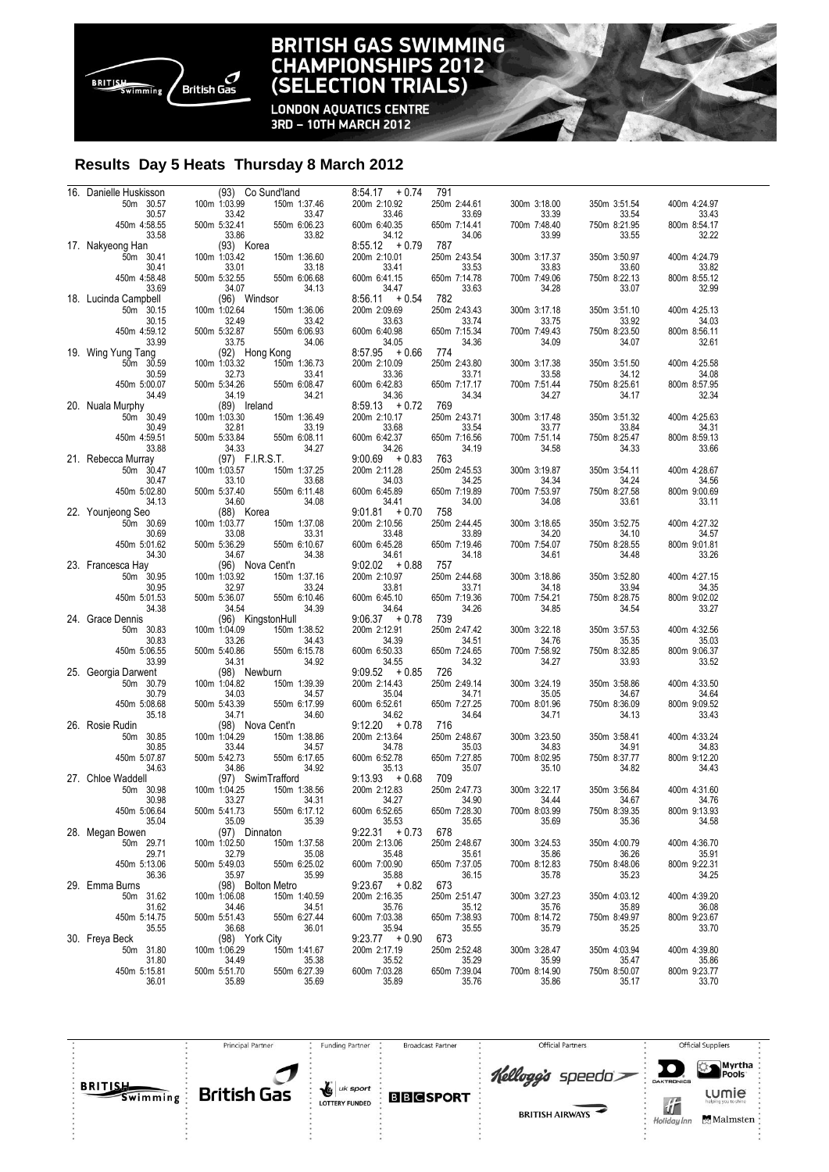

**LONDON AQUATICS CENTRE** 3RD - 10TH MARCH 2012

#### **Results Day 5 Heats Thursday 8 March 2012**

| 16. Danielle Huskisson |              | (93) Co Sund'land | $8:54.17 + 0.74$      | 791          |                       |              |                       |
|------------------------|--------------|-------------------|-----------------------|--------------|-----------------------|--------------|-----------------------|
| 50m 30.57              | 100m 1:03.99 | 150m 1:37.46      | 200m 2:10.92          | 250m 2:44.61 | 300m 3:18.00          | 350m 3:51.54 | 400m 4:24.97          |
| 30.57                  |              | 33.42<br>33.47    | 33.46                 | 33.69        | 33.39                 | 33.54        | 33.43                 |
| 450m 4:58.55           | 500m 5:32.41 | 550m 6:06.23      | 600m 6:40.35          | 650m 7:14.41 | 700m 7:48.40          | 750m 8:21.95 | 800m 8:54.17          |
| 33.58                  |              | 33.86<br>33.82    | 34.12                 | 34.06        | 33.99                 | 33.55        | 32.22                 |
| 17. Nakyeong Han       |              | (93) Korea        | $8:55.12 + 0.79$      | 787          |                       |              |                       |
| 50m 30.41              | 100m 1:03.42 | 150m 1:36.60      | 200m 2:10.01          | 250m 2:43.54 | 300m 3:17.37          | 350m 3:50.97 | 400m 4:24.79          |
| 30.41                  |              | 33.01<br>33.18    | 33.41                 | 33.53        | 33.83                 | 33.60        | 33.82                 |
| 450m 4:58.48           | 500m 5:32.55 | 550m 6:06.68      | 600m 6:41.15          | 650m 7:14.78 | 700m 7:49.06          | 750m 8:22.13 | 800m 8:55.12          |
| 33.69                  |              | 34.07<br>34.13    | 34.47                 | 33.63        | 34.28                 | 33.07        | 32.99                 |
| 18. Lucinda Campbell   |              | (96) Windsor      | $8:56.11 + 0.54$      | 782          |                       |              |                       |
| 50m 30.15              | 100m 1:02.64 | 150m 1:36.06      | 200m 2:09.69          | 250m 2:43.43 | 300m 3:17.18          | 350m 3:51.10 | 400m 4:25.13          |
| 30.15                  |              | 32.49<br>33.42    | 33.63                 | 33.74        | 33.75                 | 33.92        | 34.03                 |
| 450m 4:59.12           | 500m 5:32.87 | 550m 6:06.93      | 600m 6:40.98          | 650m 7:15.34 | 700m 7:49.43          | 750m 8:23.50 | 800m 8:56.11          |
| 33.99                  |              | 34.06<br>33.75    | 34.05                 | 34.36        | 34.09                 | 34.07        | 32.61                 |
|                        |              |                   | $8:57.95 + 0.66$      | 774          |                       |              |                       |
| 19. Wing Yung Tang     |              | (92) Hong Kong    |                       |              |                       |              |                       |
| 50m 30.59              | 100m 1:03.32 | 150m 1:36.73      | 200m 2:10.09          | 250m 2:43.80 | 300m 3:17.38          | 350m 3:51.50 | 400m 4:25.58          |
| 30.59                  |              | 32.73<br>33.41    | 33.36                 | 33.71        | 33.58                 | 34.12        | 34.08                 |
| 450m 5:00.07           | 500m 5:34.26 | 550m 6:08.47      | 600m 6:42.83          | 650m 7:17.17 | 700m 7:51.44          | 750m 8:25.61 | 800m 8:57.95          |
| 34.49                  |              | 34.21<br>34.19    | 34.36                 | 34.34        | 34.27                 | 34.17        | 32.34                 |
| 20. Nuala Murphy       |              | (89) Ireland      | $8:59.13 + 0.72$      | 769          |                       |              |                       |
| 50m 30.49              | 100m 1:03.30 | 150m 1:36.49      | 200m 2:10.17          | 250m 2:43.71 | 300m 3:17.48          | 350m 3:51.32 | 400m 4:25.63          |
| 30.49                  |              | 32.81<br>33.19    | 33.68                 | 33.54        | 33.77                 | 33.84        | 34.31                 |
| 450m 4:59.51           | 500m 5:33.84 | 550m 6:08.11      | 600m 6:42.37          | 650m 7:16.56 | 700m 7:51.14          | 750m 8:25.47 | 800m 8:59.13          |
| 33.88                  |              | 34.27<br>34.33    | 34.26                 | 34.19        | 34.58                 | 34.33        | 33.66                 |
| 21. Rebecca Murray     |              | (97) F.I.R.S.T.   | $9:00.69 + 0.83$      | 763          |                       |              |                       |
| 50m 30.47              | 100m 1:03.57 | 150m 1:37.25      | 200m 2:11.28          | 250m 2:45.53 | 300m 3:19.87          | 350m 3:54.11 | 400m 4:28.67          |
| 30.47                  |              | 33.10<br>33.68    | 34.03                 | 34.25        | 34.34                 | 34.24        | 34.56                 |
| 450m 5:02.80           | 500m 5:37.40 | 550m 6:11.48      | 600m 6:45.89          | 650m 7:19.89 | 700m 7:53.97          | 750m 8:27.58 | 800m 9:00.69          |
| 34.13                  |              | 34.08<br>34.60    | 34.41                 | 34.00        | 34.08                 | 33.61        | 33.11                 |
| 22. Younjeong Seo      |              | (88) Korea        | $9:01.81 + 0.70$      | 758          |                       |              |                       |
|                        |              |                   |                       |              |                       |              |                       |
| 50m 30.69              | 100m 1:03.77 | 150m 1:37.08      | 200m 2:10.56          | 250m 2:44.45 | 300m 3:18.65          | 350m 3:52.75 | 400m 4:27.32          |
| 30.69                  |              | 33.08<br>33.31    | 33.48                 | 33.89        | 34.20                 | 34.10        | 34.57                 |
| 450m 5:01.62           | 500m 5:36.29 | 550m 6:10.67      | 600m 6:45.28          | 650m 7:19.46 | 700m 7:54.07          | 750m 8:28.55 | 800m 9:01.81          |
| 34.30                  |              | 34.67<br>34.38    | 34.61                 | 34.18        | 34.61                 | 34.48        | 33.26                 |
| 23. Francesca Hay      |              | (96) Nova Cent'n  | $9:02.02 + 0.88$      | 757          |                       |              |                       |
| 50m 30.95              | 100m 1:03.92 | 150m 1:37.16      | 200m 2:10.97          | 250m 2:44.68 | 300m 3:18.86          | 350m 3:52.80 | 400m 4:27.15          |
| 30.95                  |              | 32.97<br>33.24    | 33.81                 | 33.71        | 34.18                 | 33.94        | 34.35                 |
| 450m 5:01.53           | 500m 5:36.07 | 550m 6:10.46      | 600m 6:45.10          | 650m 7:19.36 | 700m 7:54.21          | 750m 8:28.75 | 800m 9:02.02          |
| 34.38                  |              | 34.54<br>34.39    | 34.64                 | 34.26        | 34.85                 | 34.54        | 33.27                 |
| 24. Grace Dennis       |              | (96) KingstonHull | $9:06.37 + 0.78$      | 739          |                       |              |                       |
| 50m 30.83              | 100m 1:04.09 | 150m 1:38.52      | 200m 2:12.91          | 250m 2:47.42 | 300m 3:22.18          | 350m 3:57.53 | 400m 4:32.56          |
| 30.83                  |              | 34.43<br>33.26    | 34.39                 | 34.51        | 34.76                 | 35.35        | 35.03                 |
| 450m 5:06.55           | 500m 5:40.86 | 550m 6:15.78      | 600m 6:50.33          | 650m 7:24.65 | 700m 7:58.92          | 750m 8:32.85 | 800m 9:06.37          |
| 33.99                  |              | 34.31<br>34.92    | 34.55                 | 34.32        | 34.27                 | 33.93        | 33.52                 |
| 25. Georgia Darwent    |              | (98) Newburn      | $9:09.52 + 0.85$      | 726          |                       |              |                       |
|                        |              |                   |                       | 250m 2:49.14 |                       |              | 400m 4:33.50          |
| 50m 30.79              | 100m 1:04.82 | 150m 1:39.39      | 200m 2:14.43          |              | 300m 3:24.19          | 350m 3:58.86 |                       |
| 30.79                  |              | 34.03<br>34.57    | 35.04                 | 34.71        | 35.05                 | 34.67        | 34.64                 |
| 450m 5:08.68           | 500m 5:43.39 | 550m 6:17.99      | 600m 6:52.61          | 650m 7:27.25 | 700m 8:01.96          | 750m 8:36.09 | 800m 9:09.52          |
| 35.18                  |              | 34.60<br>34.71    | 34.62                 | 34.64        | 34.71                 | 34.13        | 33.43                 |
| 26. Rosie Rudin        |              | (98) Nova Cent'n  | $9:12.20 + 0.78$      | 716          |                       |              |                       |
| 50m 30.85              | 100m 1:04.29 | 150m 1:38.86      | 200m 2:13.64          | 250m 2:48.67 | 300m 3:23.50          | 350m 3:58.41 | 400m 4:33.24          |
| 30.85                  |              | 33.44<br>34.57    | 34.78                 | 35.03        | 34.83                 | 34.91        | 34.83                 |
| 450m 5:07.87           | 500m 5:42.73 | 550m 6:17.65      | 600m 6:52.78          | 650m 7:27.85 | 700m 8:02.95          | 750m 8:37.77 | 800m 9:12.20          |
| 34.63                  |              | 34.86<br>34.92    | 35.13                 | 35.07        | 35.10                 | 34.82        | 34.43                 |
| 27. Chloe Waddell      |              | (97) SwimTrafford | $9:13.93 + 0.68$      | 709          |                       |              |                       |
| 50m 30.98              | 100m 1:04.25 | 150m 1:38.56      | 200m 2:12.83          | 250m 2:47.73 | 300m 3:22.17          | 350m 3:56.84 | 400m 4:31.60          |
| 30.98                  |              | 33.27<br>34.31    | 34.27                 | 34.90        | 34.44                 | 34.67        | 34.76                 |
| 450m 5:06.64           | 500m 5:41.73 | 550m 6:17.12      | 600m 6:52.65          | 650m 7:28.30 | 700m 8:03.99          | 750m 8:39.35 | 800m 9:13.93          |
| 35.04                  |              | 35.39<br>35.09    | 35.53                 | 35.65        | 35.69                 | 35.36        | 34.58                 |
| 28. Megan Bowen        |              | (97) Dinnaton     | $9:22.31 + 0.73$      | 678          |                       |              |                       |
| 50m 29.71              | 100m 1:02.50 | 150m 1:37.58      | 200m 2:13.06          | 250m 2:48.67 | 300m 3:24.53          | 350m 4:00.79 | 400m 4:36.70          |
| 29.71                  |              | 35.08<br>32.79    |                       | 35.61        |                       | 36.26        |                       |
|                        | 500m 5:49.03 |                   | 35.48<br>600m 7:00.90 |              | 35.86<br>700m 8:12.83 |              | 35.91<br>800m 9:22.31 |
| 450m 5:13.06           |              | 550m 6:25.02      |                       | 650m 7:37.05 |                       | 750m 8:48.06 |                       |
| 36.36                  |              | 35.99<br>35.97    | 35.88                 | 36.15        | 35.78                 | 35.23        | 34.25                 |
| 29. Emma Burns         |              | (98) Bolton Metro | $9:23.67 + 0.82$      | 673          |                       |              |                       |
| 50m 31.62              | 100m 1:06.08 | 150m 1:40.59      | 200m 2:16.35          | 250m 2:51.47 | 300m 3:27.23          | 350m 4:03.12 | 400m 4:39.20          |
| 31.62                  |              | 34.46<br>34.51    | 35.76                 | 35.12        | 35.76                 | 35.89        | 36.08                 |
| 450m 5:14.75           | 500m 5:51.43 | 550m 6:27.44      | 600m 7:03.38          | 650m 7:38.93 | 700m 8:14.72          | 750m 8:49.97 | 800m 9:23.67          |
| 35.55                  |              | 36.01<br>36.68    | 35.94                 | 35.55        | 35.79                 | 35.25        | 33.70                 |
| 30. Freya Beck         |              | (98) York City    | $9:23.77 + 0.90$      | 673          |                       |              |                       |
| 50m 31.80              | 100m 1:06.29 | 150m 1:41.67      | 200m 2:17.19          | 250m 2:52.48 | 300m 3:28.47          | 350m 4:03.94 | 400m 4:39.80          |
| 31.80                  |              | 34.49<br>35.38    | 35.52                 | 35.29        | 35.99                 | 35.47        | 35.86                 |
| 450m 5:15.81           | 500m 5:51.70 | 550m 6:27.39      | 600m 7:03.28          | 650m 7:39.04 | 700m 8:14.90          | 750m 8:50.07 | 800m 9:23.77          |
| 36.01                  |              | 35.89<br>35.69    | 35.89                 | 35.76        | 35.86                 | 35.17        | 33.70                 |
|                        |              |                   |                       |              |                       |              |                       |

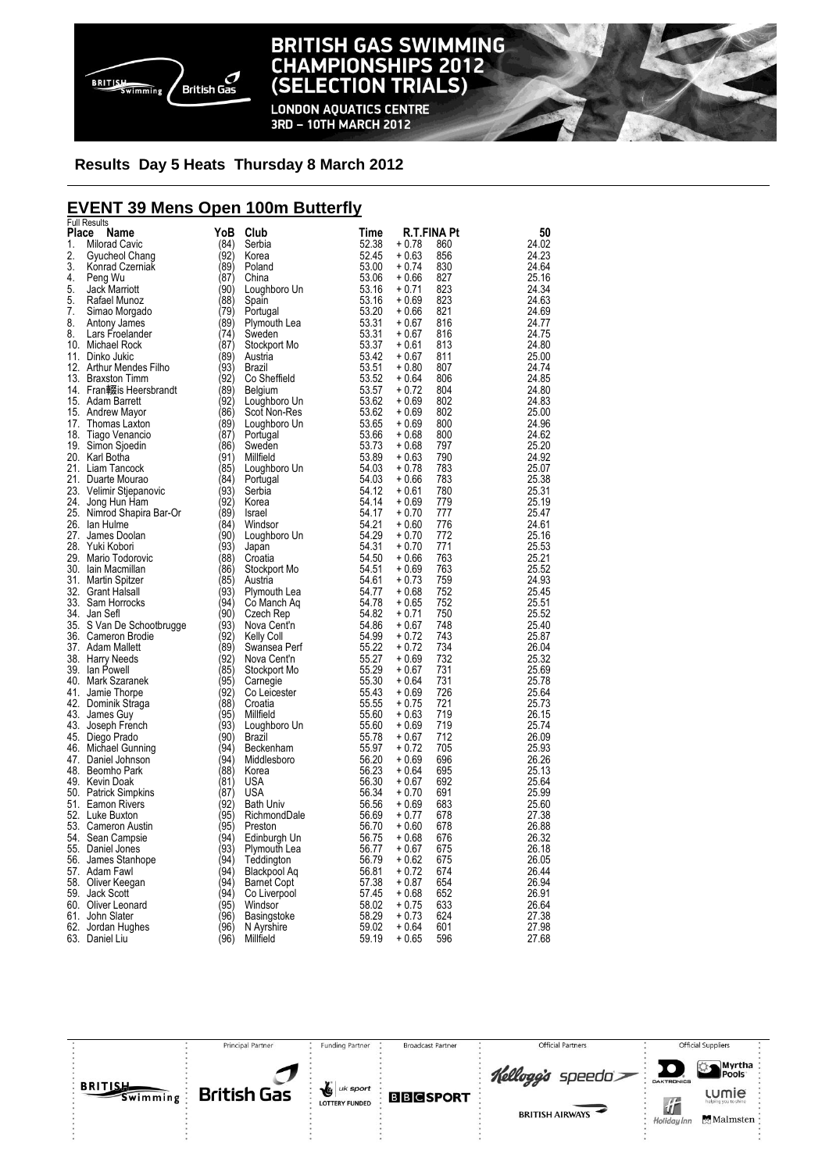

#### **BRITISH GAS SWIMMING CHAMPIONSHIPS 2012 TRIALS) (SELECTION**

**LONDON AQUATICS CENTRE** 3RD - 10TH MARCH 2012

### **Results Day 5 Heats Thursday 8 March 2012**

# **EVENT 39 Mens Open 100m Butterfly**

|          | <b>Full Results</b>                                                                                                                                                                                                                |                                      |                                                                                                                                                                                                                                                              |       |                    |                    |                |
|----------|------------------------------------------------------------------------------------------------------------------------------------------------------------------------------------------------------------------------------------|--------------------------------------|--------------------------------------------------------------------------------------------------------------------------------------------------------------------------------------------------------------------------------------------------------------|-------|--------------------|--------------------|----------------|
| Place    | Name                                                                                                                                                                                                                               | YoB                                  | Club                                                                                                                                                                                                                                                         | Time  |                    | <b>R.T.FINA Pt</b> | 50             |
| 1.       | <b>Milorad Cavic</b>                                                                                                                                                                                                               | (84)                                 | Serbia                                                                                                                                                                                                                                                       | 52.38 | $+0.78$            | 860                | 24.02          |
| 2.       | Gyucheol Chang<br>Gyucheol Chang<br>Konrad Czerniak                                                                                                                                                                                | (92)                                 | Korea                                                                                                                                                                                                                                                        | 52.45 | $+0.63$            | 856                | 24.23          |
| 3.       |                                                                                                                                                                                                                                    | (89)                                 |                                                                                                                                                                                                                                                              |       | $+0.74$            | 830                | 24.64          |
| 4.       | Peng Wu                                                                                                                                                                                                                            | (87)                                 |                                                                                                                                                                                                                                                              |       | $+0.66$            | 827                | 25.16          |
| 5.       | Jack Marriott                                                                                                                                                                                                                      | (90)                                 |                                                                                                                                                                                                                                                              |       | $+0.71$            | 823<br>823         | 24.34<br>24.63 |
| 5.       | Rafael Munoz                                                                                                                                                                                                                       | (88)                                 |                                                                                                                                                                                                                                                              |       | $+0.69$            |                    |                |
| 7.<br>8. |                                                                                                                                                                                                                                    | (79)                                 |                                                                                                                                                                                                                                                              |       | $+0.66$            | 821<br>816         | 24.69          |
|          | Simao Morgado<br>Antony James<br>Lars Froelander<br>Michael Rock                                                                                                                                                                   | (89)<br>(74)                         |                                                                                                                                                                                                                                                              |       | $+0.67$<br>$+0.67$ | 816                | 24.77          |
| 8.       | 10. Michael Rock                                                                                                                                                                                                                   | (87)                                 |                                                                                                                                                                                                                                                              |       | $+0.61$            | 813                | 24.75<br>24.80 |
|          | 11. Dinko Jukic                                                                                                                                                                                                                    | (89)                                 |                                                                                                                                                                                                                                                              |       | $+0.67$            | 811                |                |
|          | 11. DINKO JUKIC<br>12. Arthur Mendes Filho (93)<br>43. Presenter Times                                                                                                                                                             |                                      |                                                                                                                                                                                                                                                              |       | $+0.80$            | 807                | 25.00<br>24.74 |
|          | 13. Braxston Timm<br>14. Fran輟is Heersbrandt (89)<br>15. Adam Barrett (92)<br>15. Andrew Mayor (86)<br>17. Thomas Laxton (89)<br>18. Tiago Venancio (87)<br>19. Simon Sipedin (86)<br>20. Karl Botha (91)<br>21. Liam Tancock (91) |                                      |                                                                                                                                                                                                                                                              |       | $+0.64$            | 806                | 24.85          |
|          |                                                                                                                                                                                                                                    |                                      |                                                                                                                                                                                                                                                              |       | $+0.72$            | 804                | 24.80          |
|          |                                                                                                                                                                                                                                    |                                      |                                                                                                                                                                                                                                                              |       | $+0.69$            | 802                | 24.83          |
|          |                                                                                                                                                                                                                                    |                                      |                                                                                                                                                                                                                                                              |       | $+0.69$            | 802                | 25.00          |
|          |                                                                                                                                                                                                                                    |                                      |                                                                                                                                                                                                                                                              |       | $+0.69$            | 800                | 24.96          |
|          |                                                                                                                                                                                                                                    |                                      |                                                                                                                                                                                                                                                              |       | $+0.68$            | 800                | 24.62          |
|          |                                                                                                                                                                                                                                    |                                      |                                                                                                                                                                                                                                                              |       | $+0.68$            | 797                | 25.20          |
|          |                                                                                                                                                                                                                                    |                                      |                                                                                                                                                                                                                                                              |       | $+0.63$            | 790                | 24.92          |
|          | 21. Liam Tancock                                                                                                                                                                                                                   |                                      |                                                                                                                                                                                                                                                              |       | $+0.78$            | 783                | 25.07          |
|          | (91)<br>(85)<br>vic (93)<br>(93)<br>21. Duarte Mourao                                                                                                                                                                              |                                      |                                                                                                                                                                                                                                                              |       | $+0.66$            | 783                | 25.38          |
|          | 21. Duano modisco<br>23. Velimir Stjepanovic                                                                                                                                                                                       |                                      |                                                                                                                                                                                                                                                              |       | $+0.61$            | 780                | 25.31          |
|          | 24. Jong Hun Ham                                                                                                                                                                                                                   | $\langle 92 \rangle$                 |                                                                                                                                                                                                                                                              |       | $+0.69$            | 779                | 25.19          |
|          | 25. Nimrod Shapira Bar-Or                                                                                                                                                                                                          | $(89)$<br>$(84)$<br>$(90)$<br>$(93)$ |                                                                                                                                                                                                                                                              |       | $+0.70$            | 777                | 25.47          |
|          | 26. Ian Hulme                                                                                                                                                                                                                      |                                      |                                                                                                                                                                                                                                                              |       | $+0.60$            | 776                | 24.61          |
|          | 27. James Doolan                                                                                                                                                                                                                   |                                      |                                                                                                                                                                                                                                                              |       | $+0.70$            | 772                | 25.16          |
|          |                                                                                                                                                                                                                                    | (93)                                 |                                                                                                                                                                                                                                                              |       | $+0.70$            | 771                | 25.53          |
|          |                                                                                                                                                                                                                                    | (88)                                 |                                                                                                                                                                                                                                                              |       | $+0.66$            | 763                | 25.21          |
|          | <sup>21</sup><br>28. Yuki Kobon<br>29. Mario Todorovic<br>30. Iain Macmillan<br>31. Martin Spitzer<br>22. Grant Halsall                                                                                                            | (86)                                 |                                                                                                                                                                                                                                                              |       | $+0.69$            | 763                | 25.52          |
|          |                                                                                                                                                                                                                                    | (85)                                 |                                                                                                                                                                                                                                                              |       | $+0.73$            | 759                | 24.93          |
|          |                                                                                                                                                                                                                                    | $\langle 93 \rangle$                 |                                                                                                                                                                                                                                                              |       | $+0.68$            | 752                | 25.45          |
|          |                                                                                                                                                                                                                                    | (94)                                 |                                                                                                                                                                                                                                                              |       | $+0.65$            | 752                | 25.51          |
|          | 34. Jan Sefl                                                                                                                                                                                                                       | (90)                                 |                                                                                                                                                                                                                                                              |       | $+0.71$            | 750                | 25.52          |
|          | 35. S Van De Schootbrugge                                                                                                                                                                                                          | (93)                                 |                                                                                                                                                                                                                                                              |       | $+0.67$            | 748                | 25.40          |
|          | 36. Cameron Brodie                                                                                                                                                                                                                 | (92)                                 |                                                                                                                                                                                                                                                              |       | $+0.72$            | 743                | 25.87          |
|          | 37. Adam Mallett                                                                                                                                                                                                                   | (89)                                 |                                                                                                                                                                                                                                                              |       | $+0.72$            | 734                | 26.04          |
|          | 38. Harry Needs                                                                                                                                                                                                                    | (92)                                 |                                                                                                                                                                                                                                                              |       | $+0.69$            | 732                | 25.32          |
|          | 39. Ian Powell                                                                                                                                                                                                                     | (85)                                 |                                                                                                                                                                                                                                                              |       | $+0.67$            | 731                | 25.69          |
|          | 40. Mark Szaranek                                                                                                                                                                                                                  | (95)                                 |                                                                                                                                                                                                                                                              |       | $+0.64$            | 731                | 25.78          |
|          | 41. Jamie Thorpe                                                                                                                                                                                                                   | (92)                                 |                                                                                                                                                                                                                                                              |       | $+0.69$            | 726                | 25.64          |
|          | 42. Dominik Straga                                                                                                                                                                                                                 | (88)                                 |                                                                                                                                                                                                                                                              |       | $+0.75$            | 721                | 25.73          |
|          | 43. James Guy                                                                                                                                                                                                                      | (95)                                 |                                                                                                                                                                                                                                                              |       | $+0.63$            | 719                | 26.15          |
|          | 43. Joseph French                                                                                                                                                                                                                  | (93)                                 |                                                                                                                                                                                                                                                              |       | $+0.69$            | 719                | 25.74          |
|          | 45. Diego Prado                                                                                                                                                                                                                    | (90)                                 |                                                                                                                                                                                                                                                              |       | $+0.67$            | 712                | 26.09          |
|          | 46. Michael Gunning<br>47. Daniel Johnson<br>48. Beomho Park                                                                                                                                                                       | (94)                                 |                                                                                                                                                                                                                                                              |       | $+0.72$            | 705                | 25.93          |
|          |                                                                                                                                                                                                                                    | (94)                                 |                                                                                                                                                                                                                                                              |       | $+0.69$            | 696                | 26.26          |
|          | 48. Beomho Park                                                                                                                                                                                                                    | (88)                                 |                                                                                                                                                                                                                                                              |       | $+0.64$            | 695                | 25.13          |
|          | 49. Kevin Doak                                                                                                                                                                                                                     | (81)                                 |                                                                                                                                                                                                                                                              |       | $+0.67$            | 692                | 25.64          |
|          | 50. Patrick Simpkins                                                                                                                                                                                                               | (87)                                 |                                                                                                                                                                                                                                                              |       | $+0.70$            | 691                | 25.99          |
|          | 51. Eamon Rivers                                                                                                                                                                                                                   | (92)                                 |                                                                                                                                                                                                                                                              |       | $+0.69$            | 683                | 25.60          |
|          | 52. Luke Buxton                                                                                                                                                                                                                    | (95)                                 |                                                                                                                                                                                                                                                              |       | $+0.77$            | 678                | 27.38          |
|          | 53. Cameron Austin                                                                                                                                                                                                                 | (95)<br>$\langle 94 \rangle$         |                                                                                                                                                                                                                                                              |       | $+0.60$            | 678                | 26.88          |
|          | 54. Sean Campsie                                                                                                                                                                                                                   |                                      |                                                                                                                                                                                                                                                              |       | $+0.68$            | 676                | 26.32          |
|          | 55. Daniel Jones                                                                                                                                                                                                                   | (93)<br>(94)                         |                                                                                                                                                                                                                                                              |       | $+0.67$            | 675                | 26.18          |
|          | 56. James Stanhope<br>57. Adam Fawl                                                                                                                                                                                                | (94)                                 |                                                                                                                                                                                                                                                              |       | $+0.62$<br>$+0.72$ | 675<br>674         | 26.05<br>26.44 |
|          | 58. Oliver Keegan                                                                                                                                                                                                                  | (94)                                 |                                                                                                                                                                                                                                                              |       | $+0.87$            | 654                | 26.94          |
|          | 59. Jack Scott                                                                                                                                                                                                                     | (94)                                 |                                                                                                                                                                                                                                                              |       | $+0.68$            | 652                | 26.91          |
|          | 60. Oliver Leonard                                                                                                                                                                                                                 | (95)                                 |                                                                                                                                                                                                                                                              |       | $+0.75$            | 633                | 26.64          |
|          | 61. John Slater                                                                                                                                                                                                                    | (96)                                 |                                                                                                                                                                                                                                                              |       | $+0.73$            | 624                | 27.38          |
|          | 62. Jordan Hughes                                                                                                                                                                                                                  | (96)                                 |                                                                                                                                                                                                                                                              |       | $+0.64$            | 601                | 27.98          |
|          | 63. Daniel Liu                                                                                                                                                                                                                     | (96)                                 | Korea<br>Road 1924<br>Department Coupleboro Units 3, 300<br>China 5, 300<br>China 1930<br>Spain<br>Portugal<br>Spain Portugal<br>Synwouth Lea<br>Sweden<br>Synwouth Lea<br>Sweden<br>Synwouth Lea<br>Sweden<br>Synwouth Conserties<br>Deplision Units 3, 372 |       | $+0.65$            | 596                | 27.68          |
|          |                                                                                                                                                                                                                                    |                                      |                                                                                                                                                                                                                                                              |       |                    |                    |                |

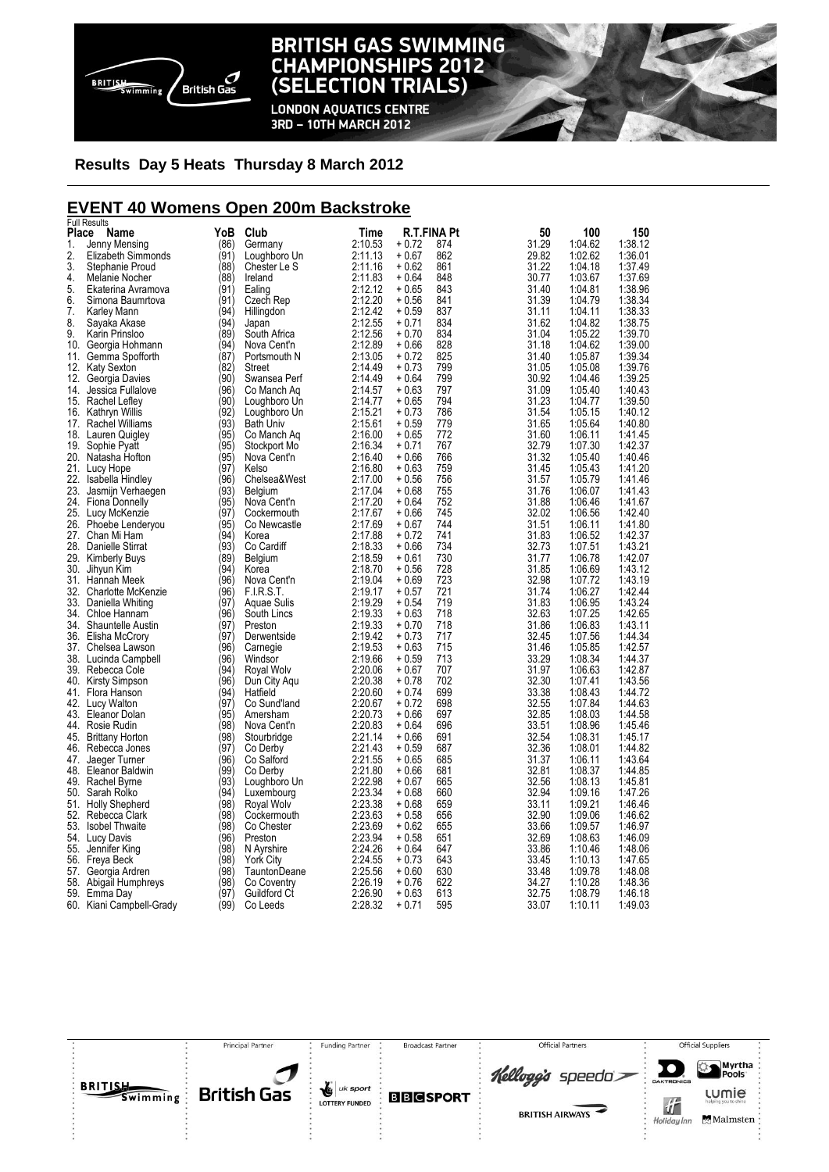

**LONDON AQUATICS CENTRE** 3RD - 10TH MARCH 2012

### **Results Day 5 Heats Thursday 8 March 2012**

### **EVENT 40 Womens Open 200m Backstroke**

|       | <b>Full Results</b>      |      |                  |         |         |             |       |         |         |
|-------|--------------------------|------|------------------|---------|---------|-------------|-------|---------|---------|
| Place | Name                     | YoB  | Club             | Time    |         | R.T.FINA Pt | 50    | 100     | 150     |
| 1.    | Jenny Mensing            | (86) | Germany          | 2:10.53 | + 0.72  | 874         | 31.29 | 1:04.62 | 1:38.12 |
| 2.    | Elizabeth Simmonds       | (91) | Loughboro Un     | 2:11.13 | $+0.67$ | 862         | 29.82 | 1:02.62 | 1:36.01 |
| 3.    | Stephanie Proud          | (88) | Chester Le S     | 2:11.16 | + 0.62  | 861         | 31.22 | 1:04.18 | 1:37.49 |
| 4.    | Melanie Nocher           | (88) | Ireland          | 2:11.83 | + 0.64  | 848         | 30.77 | 1:03.67 | 1:37.69 |
| 5.    | Ekaterina Avramova       | (91) | Ealing           | 2:12.12 | $+0.65$ | 843         | 31.40 | 1:04.81 | 1:38.96 |
|       |                          |      |                  |         |         |             |       |         |         |
| 6.    | Simona Baumrtova         | (91) | Czech Rep        | 2:12.20 | $+0.56$ | 841         | 31.39 | 1:04.79 | 1:38.34 |
| 7.    | Karley Mann              | (94) | Hillingdon       | 2:12.42 | $+0.59$ | 837         | 31.11 | 1:04.11 | 1:38.33 |
| 8.    | Sayaka Akase             | (94) | Japan            | 2:12.55 | + 0.71  | 834         | 31.62 | 1:04.82 | 1:38.75 |
| 9.    | Karin Prinsloo           | (89) | South Africa     | 2:12.56 | $+0.70$ | 834         | 31.04 | 1:05.22 | 1:39.70 |
| 10.   | Georgia Hohmann          | (94) | Nova Cent'n      | 2:12.89 | $+0.66$ | 828         | 31.18 | 1:04.62 | 1:39.00 |
| 11.   | Gemma Spofforth          | (87) | Portsmouth N     | 2:13.05 | $+0.72$ | 825         | 31.40 | 1:05.87 | 1:39.34 |
| 12.   | <b>Katy Sexton</b>       | (82) | Street           | 2:14.49 | $+0.73$ | 799         | 31.05 | 1:05.08 | 1:39.76 |
| 12.   | Georgia Davies           | (90) | Swansea Perf     | 2:14.49 | $+0.64$ | 799         | 30.92 | 1:04.46 | 1:39.25 |
| 14.   | Jessica Fullalove        | (96) | Co Manch Aq      | 2:14.57 | $+0.63$ | 797         | 31.09 | 1:05.40 | 1:40.43 |
|       | 15. Rachel Lefley        | (90) | Loughboro Un     | 2:14.77 | $+0.65$ | 794         | 31.23 | 1:04.77 | 1:39.50 |
|       |                          |      |                  |         | $+0.73$ | 786         |       |         |         |
|       | 16. Kathryn Willis       | (92) | Loughboro Un     | 2:15.21 |         |             | 31.54 | 1:05.15 | 1:40.12 |
|       | 17. Rachel Williams      | (93) | <b>Bath Univ</b> | 2:15.61 | $+0.59$ | 779         | 31.65 | 1:05.64 | 1:40.80 |
| 18.   | Lauren Quigley           | (95) | Co Manch Aq      | 2:16.00 | $+0.65$ | 772         | 31.60 | 1:06.11 | 1:41.45 |
|       | 19. Sophie Pyatt         | (95) | Stockport Mo     | 2:16.34 | $+0.71$ | 767         | 32.79 | 1:07.30 | 1:42.37 |
|       | 20. Natasha Hofton       | (95) | Nova Cent'n      | 2:16.40 | $+0.66$ | 766         | 31.32 | 1:05.40 | 1:40.46 |
|       | 21. Lucy Hope            | (97) | Kelso            | 2:16.80 | $+0.63$ | 759         | 31.45 | 1:05.43 | 1:41.20 |
| 22.   | Isabella Hindley         | (96) | Chelsea&West     | 2:17.00 | + 0.56  | 756         | 31.57 | 1:05.79 | 1:41.46 |
|       | 23. Jasmijn Verhaegen    | (93' | Belgium          | 2:17.04 | $+0.68$ | 755         | 31.76 | 1:06.07 | 1:41.43 |
|       | 24. Fiona Donnelly       | (95) | Nova Cent'n      | 2:17.20 | $+0.64$ | 752         | 31.88 | 1:06.46 | 1:41.67 |
|       | 25. Lucy McKenzie        | (97) | Cockermouth      | 2:17.67 | $+0.66$ | 745         | 32.02 | 1:06.56 | 1:42.40 |
|       |                          | (95) |                  |         | $+0.67$ | 744         | 31.51 | 1:06.11 | 1:41.80 |
|       | 26. Phoebe Lenderyou     |      | Co Newcastle     | 2:17.69 |         |             |       |         |         |
| 27.   | Chan Mi Ham              | (94) | Korea            | 2:17.88 | $+0.72$ | 741         | 31.83 | 1:06.52 | 1:42.37 |
|       | 28. Danielle Stirrat     | (93) | Co Cardiff       | 2:18.33 | + 0.66  | 734         | 32.73 | 1:07.51 | 1:43.21 |
|       | 29. Kimberly Buys        | (89) | Belgium          | 2:18.59 | + 0.61  | 730         | 31.77 | 1:06.78 | 1:42.07 |
|       | 30. Jihyun Kim           | (94) | Korea            | 2:18.70 | $+0.56$ | 728         | 31.85 | 1:06.69 | 1:43.12 |
|       | 31. Hannah Meek          | (96) | Nova Cent'n      | 2:19.04 | $+0.69$ | 723         | 32.98 | 1:07.72 | 1:43.19 |
| 32.   | Charlotte McKenzie       | (96) | F.I.R.S.T.       | 2:19.17 | $+0.57$ | 721         | 31.74 | 1:06.27 | 1:42.44 |
|       | 33. Daniella Whiting     | (97) | Aquae Sulis      | 2:19.29 | $+0.54$ | 719         | 31.83 | 1:06.95 | 1:43.24 |
|       | 34. Chloe Hannam         | (96) | South Lincs      | 2:19.33 | $+0.63$ | 718         | 32.63 | 1:07.25 | 1:42.65 |
|       | 34. Shauntelle Austin    | (97) | Preston          | 2:19.33 | $+0.70$ | 718         | 31.86 | 1:06.83 | 1:43.11 |
|       |                          |      |                  |         |         |             | 32.45 |         |         |
|       | 36. Elisha McCrory       | (97) | Derwentside      | 2:19.42 | $+0.73$ | 717         |       | 1:07.56 | 1:44.34 |
|       | 37. Chelsea Lawson       | (96) | Carnegie         | 2:19.53 | $+0.63$ | 715         | 31.46 | 1:05.85 | 1:42.57 |
|       | 38. Lucinda Campbell     | (96) | Windsor          | 2:19.66 | $+0.59$ | 713         | 33.29 | 1:08.34 | 1:44.37 |
|       | 39. Rebecca Cole         | (94) | Royal Wolv       | 2:20.06 | $+0.67$ | 707         | 31.97 | 1:06.63 | 1:42.87 |
|       | 40. Kirsty Simpson       | (96) | Dun City Agu     | 2:20.38 | $+0.78$ | 702         | 32.30 | 1:07.41 | 1:43.56 |
|       | 41. Flora Hanson         | (94) | Hatfield         | 2:20.60 | + 0.74  | 699         | 33.38 | 1:08.43 | 1:44.72 |
|       | 42. Lucy Walton          | (97) | Co Sund'land     | 2:20.67 | $+0.72$ | 698         | 32.55 | 1:07.84 | 1:44.63 |
|       | 43. Eleanor Dolan        | (95) | Amersham         | 2:20.73 | + 0.66  | 697         | 32.85 | 1:08.03 | 1:44.58 |
|       | 44. Rosie Rudin          | (98) | Nova Cent'n      | 2:20.83 | $+0.64$ | 696         | 33.51 | 1:08.96 | 1:45.46 |
| 45.   | <b>Brittany Horton</b>   | (98) | Stourbridge      | 2:21.14 | $+0.66$ | 691         | 32.54 | 1:08.31 | 1:45.17 |
| 46.   | Rebecca Jones            | (97) | Co Derby         | 2:21.43 | $+0.59$ | 687         | 32.36 | 1:08.01 | 1:44.82 |
|       |                          |      |                  |         |         |             |       |         |         |
| 47.   | Jaeger Turner            | (96) | Co Salford       | 2:21.55 | $+0.65$ | 685         | 31.37 | 1:06.11 | 1:43.64 |
|       | 48. Eleanor Baldwin      | (99) | Co Derby         | 2:21.80 | $+0.66$ | 681         | 32.81 | 1:08.37 | 1:44.85 |
|       | 49. Rachel Byrne         | (93) | Loughboro Un     | 2:22.98 | $+0.67$ | 665         | 32.56 | 1:08.13 | 1:45.81 |
| 50.   | Sarah Rolko              | (94) | Luxembourg       | 2:23.34 | $+0.68$ | 660         | 32.94 | 1:09.16 | 1:47.26 |
|       | 51. Holly Shepherd       | (98) | Royal Wolv       | 2:23.38 | $+0.68$ | 659         | 33.11 | 1:09.21 | 1:46.46 |
|       | 52. Rebecca Clark        | (98) | Cockermouth      | 2:23.63 | $+0.58$ | 656         | 32.90 | 1:09.06 | 1:46.62 |
| 53.   | <b>Isobel Thwaite</b>    | (98) | Co Chester       | 2:23.69 | $+0.62$ | 655         | 33.66 | 1:09.57 | 1:46.97 |
|       | 54. Lucy Davis           | (96) | Preston          | 2:23.94 | $+0.58$ | 651         | 32.69 | 1:08.63 | 1:46.09 |
| 55.   | Jennifer King            | (98) | N Ayrshire       | 2:24.26 | $+0.64$ | 647         | 33.86 | 1:10.46 | 1:48.06 |
|       |                          | (98  |                  | 2:24.55 | + 0.73  | 643         | 33.45 | 1:10.13 | 1:47.65 |
|       | 56. Freya Beck           |      | <b>York City</b> |         |         |             |       |         |         |
|       | 57. Georgia Ardren       | (98) | TauntonDeane     | 2:25.56 | + 0.60  | 630         | 33.48 | 1:09.78 | 1:48.08 |
| 58.   | Abigail Humphreys        | (98) | Co Coventry      | 2:26.19 | + 0.76  | 622         | 34.27 | 1:10.28 | 1:48.36 |
|       | 59. Emma Day             | (97) | Guildford Ct     | 2:26.90 | $+0.63$ | 613         | 32.75 | 1:08.79 | 1:46.18 |
|       | 60. Kiani Campbell-Grady | (99) | Co Leeds         | 2:28.32 | + 0.71  | 595         | 33.07 | 1:10.11 | 1:49.03 |